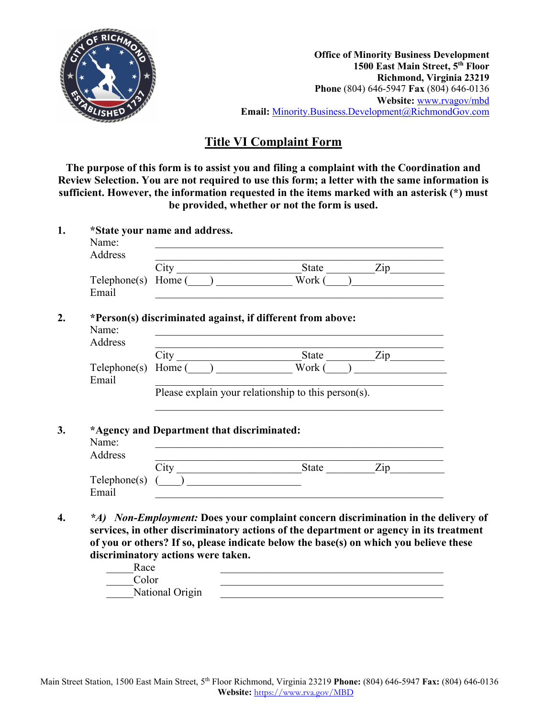

## **Title VI Complaint Form**

**The purpose of this form is to assist you and filing a complaint with the Coordination and Review Selection. You are not required to use this form; a letter with the same information is sufficient. However, the information requested in the items marked with an asterisk (\*) must be provided, whether or not the form is used.**

|                       | *State your name and address.                                                                                                                                                                                                                                                                                                                                      |                                                                                                                      |                                         |  |
|-----------------------|--------------------------------------------------------------------------------------------------------------------------------------------------------------------------------------------------------------------------------------------------------------------------------------------------------------------------------------------------------------------|----------------------------------------------------------------------------------------------------------------------|-----------------------------------------|--|
| Name:                 |                                                                                                                                                                                                                                                                                                                                                                    |                                                                                                                      |                                         |  |
| Address               |                                                                                                                                                                                                                                                                                                                                                                    |                                                                                                                      |                                         |  |
|                       |                                                                                                                                                                                                                                                                                                                                                                    |                                                                                                                      |                                         |  |
| Telphone(s)<br>Email  | Home(                                                                                                                                                                                                                                                                                                                                                              | Work $($                                                                                                             | <u> 1990 - Johann Barbara, martxa a</u> |  |
| Name:<br>Address      |                                                                                                                                                                                                                                                                                                                                                                    | *Person(s) discriminated against, if different from above:                                                           |                                         |  |
|                       |                                                                                                                                                                                                                                                                                                                                                                    |                                                                                                                      |                                         |  |
|                       |                                                                                                                                                                                                                                                                                                                                                                    |                                                                                                                      |                                         |  |
|                       |                                                                                                                                                                                                                                                                                                                                                                    |                                                                                                                      |                                         |  |
| Telenbone(s)<br>Email |                                                                                                                                                                                                                                                                                                                                                                    |                                                                                                                      |                                         |  |
|                       |                                                                                                                                                                                                                                                                                                                                                                    | Please explain your relationship to this person(s).                                                                  |                                         |  |
| Name:                 | *Agency and Department that discriminated:                                                                                                                                                                                                                                                                                                                         | <u> 1980 - Jan Samuel Barbara, martin da basar a shekara tsara a shekara tsa a shekara tsara a shekara tsara tsa</u> |                                         |  |
| Address               |                                                                                                                                                                                                                                                                                                                                                                    | <u> 2003 - Johann John Stein, martin de British et al. (</u>                                                         |                                         |  |
|                       |                                                                                                                                                                                                                                                                                                                                                                    |                                                                                                                      |                                         |  |
| Telphone(s)<br>Email  | $\begin{picture}(20,20)(-0,0) \put(0,0){\vector(1,0){100}} \put(15,0){\vector(1,0){100}} \put(15,0){\vector(1,0){100}} \put(15,0){\vector(1,0){100}} \put(15,0){\vector(1,0){100}} \put(15,0){\vector(1,0){100}} \put(15,0){\vector(1,0){100}} \put(15,0){\vector(1,0){100}} \put(15,0){\vector(1,0){100}} \put(15,0){\vector(1,0){100}} \put(15,0){\vector(1,0){$ |                                                                                                                      |                                         |  |

| Race            |  |
|-----------------|--|
| Color           |  |
| National Origin |  |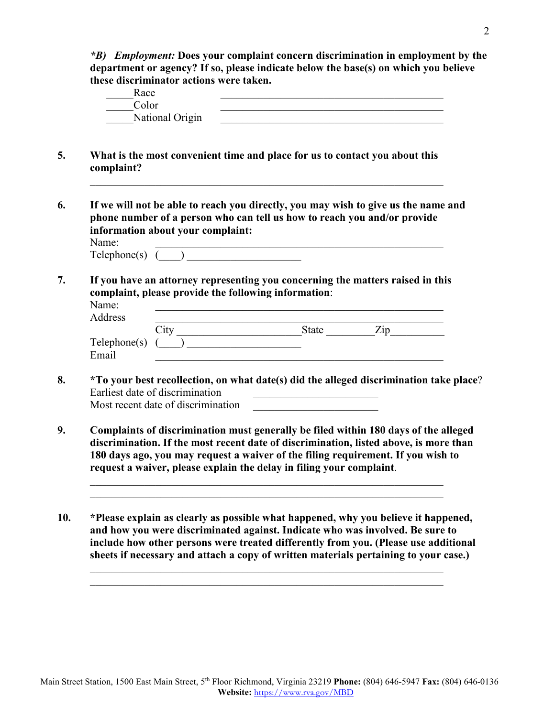|                      | Color<br>National Origin                                                                                                                                                                                                                                                                                                                 |                                                                                                                                                                                     | <u> 1989 - Johann John Stone, mars et al. 1989 - John Stone, mars et al. 1989 - John Stone, mars et al. 1989 - John Stone</u><br><u> 1989 - Johann John Stoff, deutscher Stoffen und der Stoffen und der Stoffen und der Stoffen und der Stoffen</u> |
|----------------------|------------------------------------------------------------------------------------------------------------------------------------------------------------------------------------------------------------------------------------------------------------------------------------------------------------------------------------------|-------------------------------------------------------------------------------------------------------------------------------------------------------------------------------------|------------------------------------------------------------------------------------------------------------------------------------------------------------------------------------------------------------------------------------------------------|
| complaint?           | What is the most convenient time and place for us to contact you about this                                                                                                                                                                                                                                                              |                                                                                                                                                                                     |                                                                                                                                                                                                                                                      |
| Name:                | If we will not be able to reach you directly, you may wish to give us the name and<br>phone number of a person who can tell us how to reach you and/or provide<br>information about your complaint:                                                                                                                                      |                                                                                                                                                                                     |                                                                                                                                                                                                                                                      |
|                      | <u> 1989 - Johann Stein, marwolaethau a bhann an t-Amhain Aonaichte ann an t-Amhain Aonaichte ann an t-Amhain Ao</u><br>Telephone(s) $\overline{(\ )}$                                                                                                                                                                                   |                                                                                                                                                                                     |                                                                                                                                                                                                                                                      |
| Name:<br>Address     | If you have an attorney representing you concerning the matters raised in this<br>complaint, please provide the following information:<br><u> 1989 - Johann Stein, marwolaethau a bhann an t-Amhain an t-Amhain an t-Amhain an t-Amhain an t-Amhain an t-A</u>                                                                           |                                                                                                                                                                                     |                                                                                                                                                                                                                                                      |
| Telphone(s)<br>Email |                                                                                                                                                                                                                                                                                                                                          |                                                                                                                                                                                     |                                                                                                                                                                                                                                                      |
|                      | *To your best recollection, on what date(s) did the alleged discrimination take place?<br>Earliest date of discrimination<br>Most recent date of discrimination                                                                                                                                                                          | <u> 1989 - Johann Barn, mars ar breithinn ar breithinn ar breithinn ar breithinn ar breithinn ar breithinn ar br</u><br><u> 1989 - Johann Barn, mars ann an t-Amhair ann an t-A</u> |                                                                                                                                                                                                                                                      |
|                      | Complaints of discrimination must generally be filed within 180 days of the alleged<br>discrimination. If the most recent date of discrimination, listed above, is more than<br>180 days ago, you may request a waiver of the filing requirement. If you wish to<br>request a waiver, please explain the delay in filing your complaint. |                                                                                                                                                                                     |                                                                                                                                                                                                                                                      |
|                      |                                                                                                                                                                                                                                                                                                                                          |                                                                                                                                                                                     |                                                                                                                                                                                                                                                      |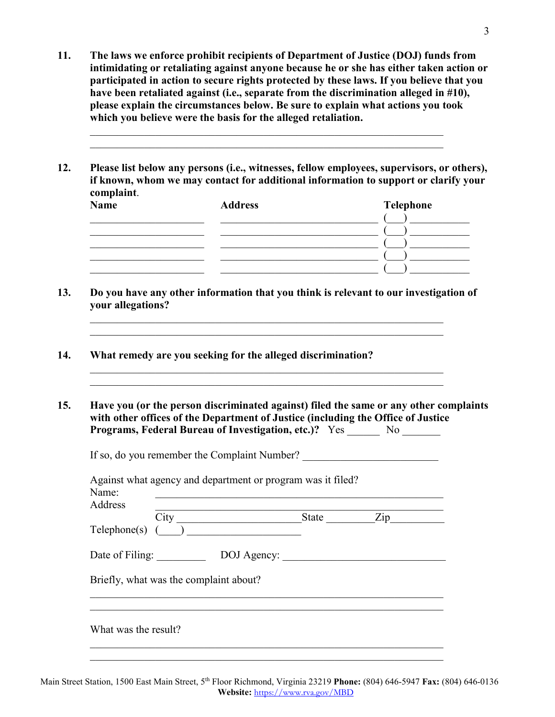- **11. The laws we enforce prohibit recipients of Department of Justice (DOJ) funds from intimidating or retaliating against anyone because he or she has either taken action or participated in action to secure rights protected by these laws. If you believe that you have been retaliated against (i.e., separate from the discrimination alleged in #10), please explain the circumstances below. Be sure to explain what actions you took which you believe were the basis for the alleged retaliation.**
- **12. Please list below any persons (i.e., witnesses, fellow employees, supervisors, or others), if known, whom we may contact for additional information to support or clarify your complaint**.

 $\mathcal{L}_\mathcal{L}$  , and the contribution of the contribution of the contribution of the contribution of the contribution of the contribution of the contribution of the contribution of the contribution of the contribution of

| Name | <b>Address</b> | <b>Telephone</b> |
|------|----------------|------------------|
|      |                |                  |
|      |                |                  |
|      |                |                  |
|      |                |                  |
|      |                |                  |

**13. Do you have any other information that you think is relevant to our investigation of your allegations?**

 $\mathcal{L}_\mathcal{L}$  , and the contribution of the contribution of the contribution of the contribution of the contribution of the contribution of the contribution of the contribution of the contribution of the contribution of

 $\mathcal{L}_\mathcal{L}$  , and the contribution of the contribution of the contribution of the contribution of the contribution of the contribution of the contribution of the contribution of the contribution of the contribution of

**14. What remedy are you seeking for the alleged discrimination?**

Against what agency and department or program was it filed?

**15. Have you (or the person discriminated against) filed the same or any other complaints with other offices of the Department of Justice (including the Office of Justice Programs, Federal Bureau of Investigation, etc.)?** Yes No

If so, do you remember the Complaint Number?

| Name:                | Against what agency and department or program was it med? |       |                                   |
|----------------------|-----------------------------------------------------------|-------|-----------------------------------|
| Address              |                                                           |       |                                   |
|                      |                                                           | State | $\mathop{\mathrm {Zip}}\nolimits$ |
|                      | $\text{Telephone}(s)$ ( $\qquad$ )                        |       |                                   |
| Date of Filing:      |                                                           |       | DOJ Agency:                       |
|                      | Briefly, what was the complaint about?                    |       |                                   |
|                      |                                                           |       |                                   |
| What was the result? |                                                           |       |                                   |
|                      |                                                           |       |                                   |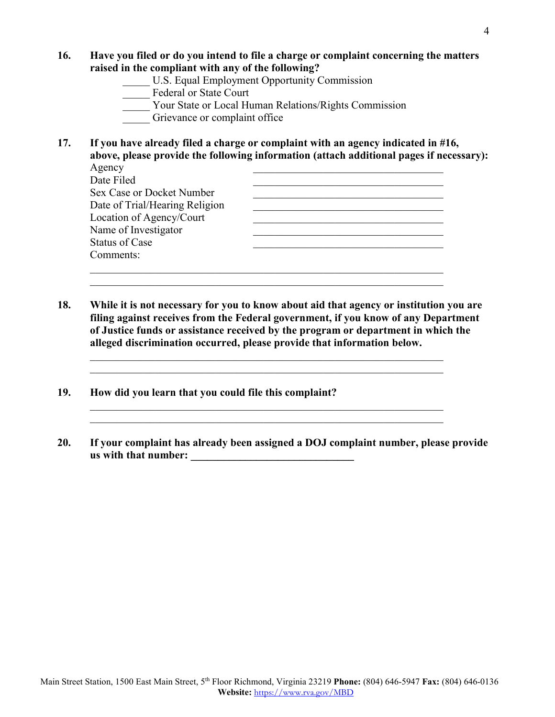- **16. Have you filed or do you intend to file a charge or complaint concerning the matters raised in the compliant with any of the following?**
	- U.S. Equal Employment Opportunity Commission
	- \_\_\_\_\_ Federal or State Court
	- Your State or Local Human Relations/Rights Commission
	- Grievance or complaint office
- **17. If you have already filed a charge or complaint with an agency indicated in #16, above, please provide the following information (attach additional pages if necessary):** Agency

| Date Filed                     |  |
|--------------------------------|--|
| Sex Case or Docket Number      |  |
| Date of Trial/Hearing Religion |  |
| Location of Agency/Court       |  |
| Name of Investigator           |  |
| Status of Case                 |  |
| Comments:                      |  |
|                                |  |
|                                |  |

**18. While it is not necessary for you to know about aid that agency or institution you are filing against receives from the Federal government, if you know of any Department of Justice funds or assistance received by the program or department in which the alleged discrimination occurred, please provide that information below.**

 $\mathcal{L}_\mathcal{L}$  , and the contribution of the contribution of the contribution of the contribution of the contribution of the contribution of the contribution of the contribution of the contribution of the contribution of  $\mathcal{L}_\mathcal{L}$  , and the contribution of the contribution of the contribution of the contribution of the contribution of the contribution of the contribution of the contribution of the contribution of the contribution of

 $\mathcal{L}_\mathcal{L}$  , and the contribution of the contribution of the contribution of the contribution of the contribution of the contribution of the contribution of the contribution of the contribution of the contribution of

- **19. How did you learn that you could file this complaint?**
- **20. If your complaint has already been assigned a DOJ complaint number, please provide us with that number: \_\_\_\_\_\_\_\_\_\_\_\_\_\_\_\_\_\_\_\_\_\_\_\_\_\_\_\_\_\_**